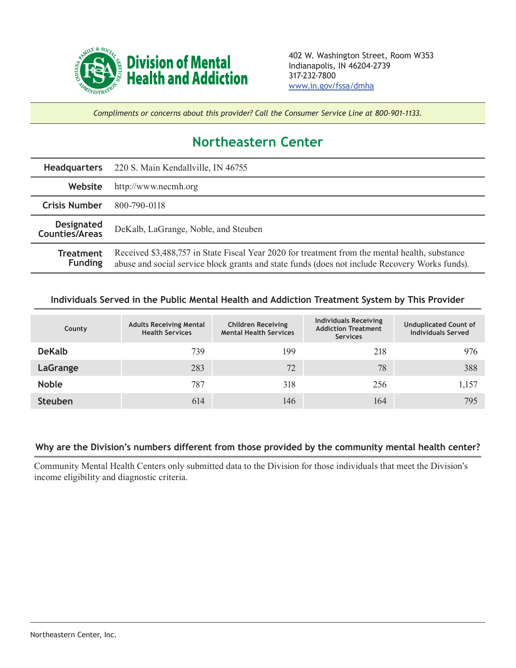

*Compliments or concerns about this provider? Call the Consumer Service Line at 800-901-1133.*

## **Northeastern Center**

| <b>Headquarters</b>                 | 220 S. Main Kendallville, IN 46755                                                                                                                                                               |  |  |  |
|-------------------------------------|--------------------------------------------------------------------------------------------------------------------------------------------------------------------------------------------------|--|--|--|
| Website                             | http://www.necmh.org                                                                                                                                                                             |  |  |  |
| <b>Crisis Number</b>                | 800-790-0118                                                                                                                                                                                     |  |  |  |
| <b>Designated</b><br>Counties/Areas | DeKalb, LaGrange, Noble, and Steuben                                                                                                                                                             |  |  |  |
| <b>Treatment</b><br><b>Funding</b>  | Received \$3,488,757 in State Fiscal Year 2020 for treatment from the mental health, substance<br>abuse and social service block grants and state funds (does not include Recovery Works funds). |  |  |  |

## **Individuals Served in the Public Mental Health and Addiction Treatment System by This Provider**

| County         | <b>Adults Receiving Mental</b><br><b>Health Services</b> | <b>Children Receiving</b><br><b>Mental Health Services</b> | <b>Individuals Receiving</b><br><b>Addiction Treatment</b><br><b>Services</b> | <b>Unduplicated Count of</b><br><b>Individuals Served</b> |
|----------------|----------------------------------------------------------|------------------------------------------------------------|-------------------------------------------------------------------------------|-----------------------------------------------------------|
| <b>DeKalb</b>  | 739                                                      | 199                                                        | 218                                                                           | 976                                                       |
| LaGrange       | 283                                                      | 72                                                         | 78                                                                            | 388                                                       |
| <b>Noble</b>   | 787                                                      | 318                                                        | 256                                                                           | 1,157                                                     |
| <b>Steuben</b> | 614                                                      | 146                                                        | 164                                                                           | 795                                                       |

## **Why are the Division's numbers different from those provided by the community mental health center?**

Community Mental Health Centers only submitted data to the Division for those individuals that meet the Division's income eligibility and diagnostic criteria.